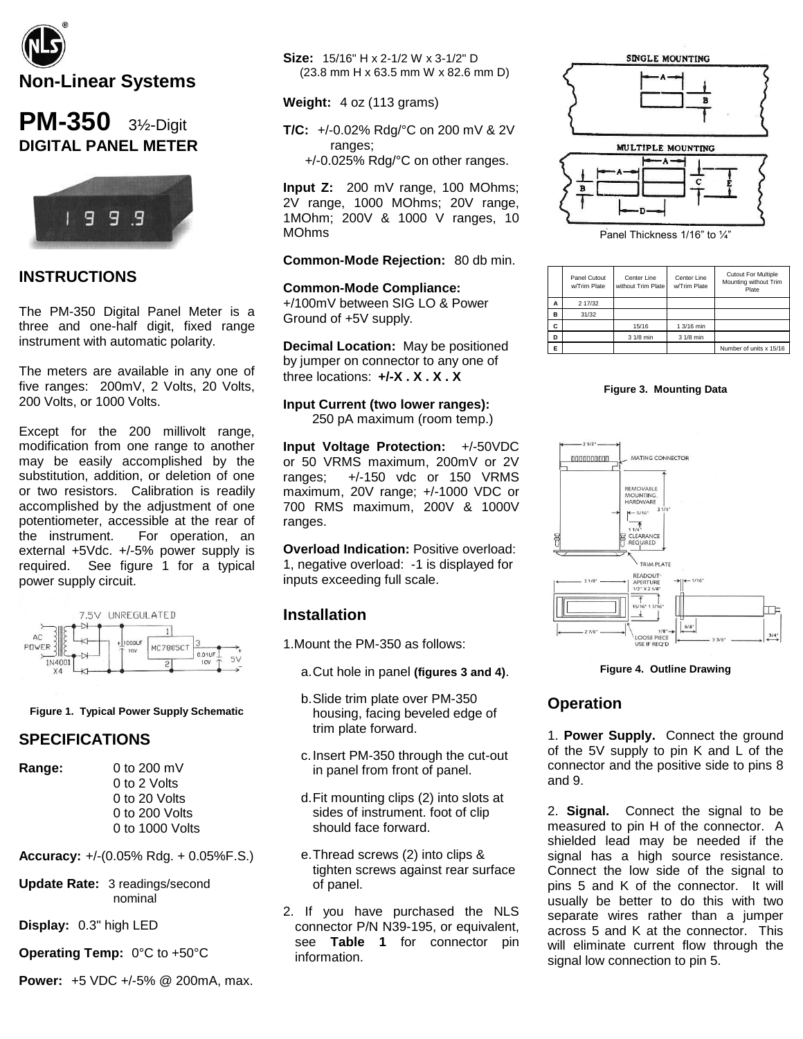

# **PM-350** 3½-Digit **DIGITAL PANEL METER**



# **INSTRUCTIONS**

The PM-350 Digital Panel Meter is a three and one-half digit, fixed range instrument with automatic polarity.

The meters are available in any one of five ranges: 200mV, 2 Volts, 20 Volts, 200 Volts, or 1000 Volts.

Except for the 200 millivolt range, modification from one range to another may be easily accomplished by the substitution, addition, or deletion of one or two resistors. Calibration is readily accomplished by the adjustment of one potentiometer, accessible at the rear of the instrument. For operation, an external +5Vdc. +/-5% power supply is required. See figure 1 for a typical power supply circuit.



#### **Figure 1. Typical Power Supply Schematic**

### **SPECIFICATIONS**

**Range:** 0 to 200 mV

0 to 2 Volts 0 to 20 Volts 0 to 200 Volts 0 to 1000 Volts

**Accuracy:** +/-(0.05% Rdg. + 0.05%F.S.)

**Update Rate:** 3 readings/second nominal

**Display:** 0.3" high LED

**Operating Temp:** 0°C to +50°C

**Power:** +5 VDC +/-5% @ 200mA, max.

**Size:** 15/16" H x 2-1/2 W x 3-1/2" D (23.8 mm H x 63.5 mm W x 82.6 mm D)

**Weight:** 4 oz (113 grams)

**T/C:** +/-0.02% Rdg/°C on 200 mV & 2V ranges;

+/-0.025% Rdg/°C on other ranges.

**Input Z:** 200 mV range, 100 MOhms; 2V range, 1000 MOhms; 20V range, 1MOhm; 200V & 1000 V ranges, 10 MOhms

#### **Common-Mode Rejection:** 80 db min.

**Common-Mode Compliance:** +/100mV between SIG LO & Power Ground of +5V supply.

**Decimal Location:** May be positioned by jumper on connector to any one of three locations: **+/-X . X . X . X**

#### **Input Current (two lower ranges):**

250 pA maximum (room temp.)

**Input Voltage Protection:** +/-50VDC or 50 VRMS maximum, 200mV or 2V ranges; +/-150 vdc or 150 VRMS maximum, 20V range; +/-1000 VDC or 700 RMS maximum, 200V & 1000V ranges.

**Overload Indication:** Positive overload: 1, negative overload: -1 is displayed for inputs exceeding full scale.

### **Installation**

1.Mount the PM-350 as follows:

- a.Cut hole in panel **(figures 3 and 4)**.
- b.Slide trim plate over PM-350 housing, facing beveled edge of trim plate forward.
- c.Insert PM-350 through the cut-out in panel from front of panel.
- d.Fit mounting clips (2) into slots at sides of instrument. foot of clip should face forward.
- e.Thread screws (2) into clips & tighten screws against rear surface of panel.
- 2. If you have purchased the NLS connector P/N N39-195, or equivalent, see **Table 1** for connector pin information.





Panel Thickness 1/16" to 1/4"

|   | Panel Cutout<br>w/Trim Plate | Center Line<br>without Trim Plate | Center Line<br>w/Trim Plate | <b>Cutout For Multiple</b><br>Mounting without Trim<br>Plate |
|---|------------------------------|-----------------------------------|-----------------------------|--------------------------------------------------------------|
| Α | 2 17/32                      |                                   |                             |                                                              |
| B | 31/32                        |                                   |                             |                                                              |
| C |                              | 15/16                             | 1 3/16 min                  |                                                              |
| D |                              | 3 1/8 min                         | 3 1/8 min                   |                                                              |
| E |                              |                                   |                             | Number of units x 15/16                                      |





#### **Figure 4. Outline Drawing**

### **Operation**

1. **Power Supply.** Connect the ground of the 5V supply to pin K and L of the connector and the positive side to pins 8 and 9.

2. **Signal.** Connect the signal to be measured to pin H of the connector. A shielded lead may be needed if the signal has a high source resistance. Connect the low side of the signal to pins 5 and K of the connector. It will usually be better to do this with two separate wires rather than a jumper across 5 and K at the connector. This will eliminate current flow through the signal low connection to pin 5.